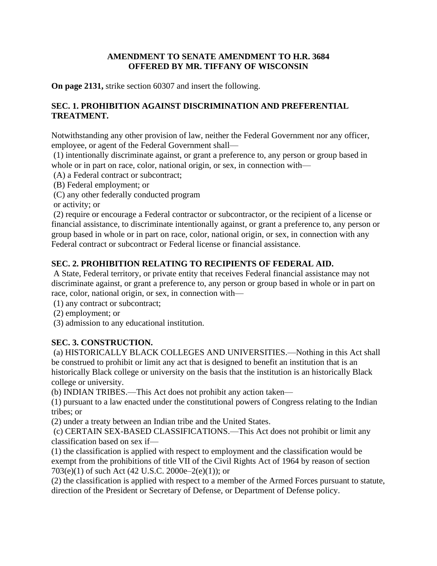#### **AMENDMENT TO SENATE AMENDMENT TO H.R. 3684 OFFERED BY MR. TIFFANY OF WISCONSIN**

**On page 2131,** strike section 60307 and insert the following.

#### **SEC. 1. PROHIBITION AGAINST DISCRIMINATION AND PREFERENTIAL TREATMENT.**

Notwithstanding any other provision of law, neither the Federal Government nor any officer, employee, or agent of the Federal Government shall—

(1) intentionally discriminate against, or grant a preference to, any person or group based in whole or in part on race, color, national origin, or sex, in connection with—

(A) a Federal contract or subcontract;

(B) Federal employment; or

(C) any other federally conducted program

or activity; or

(2) require or encourage a Federal contractor or subcontractor, or the recipient of a license or financial assistance, to discriminate intentionally against, or grant a preference to, any person or group based in whole or in part on race, color, national origin, or sex, in connection with any Federal contract or subcontract or Federal license or financial assistance.

## **SEC. 2. PROHIBITION RELATING TO RECIPIENTS OF FEDERAL AID.**

A State, Federal territory, or private entity that receives Federal financial assistance may not discriminate against, or grant a preference to, any person or group based in whole or in part on race, color, national origin, or sex, in connection with—

(1) any contract or subcontract;

(2) employment; or

(3) admission to any educational institution.

#### **SEC. 3. CONSTRUCTION.**

(a) HISTORICALLY BLACK COLLEGES AND UNIVERSITIES.—Nothing in this Act shall be construed to prohibit or limit any act that is designed to benefit an institution that is an historically Black college or university on the basis that the institution is an historically Black college or university.

(b) INDIAN TRIBES.—This Act does not prohibit any action taken—

(1) pursuant to a law enacted under the constitutional powers of Congress relating to the Indian tribes; or

(2) under a treaty between an Indian tribe and the United States.

(c) CERTAIN SEX-BASED CLASSIFICATIONS.—This Act does not prohibit or limit any classification based on sex if—

(1) the classification is applied with respect to employment and the classification would be exempt from the prohibitions of title VII of the Civil Rights Act of 1964 by reason of section 703(e)(1) of such Act (42 U.S.C. 2000e–2(e)(1)); or

(2) the classification is applied with respect to a member of the Armed Forces pursuant to statute, direction of the President or Secretary of Defense, or Department of Defense policy.